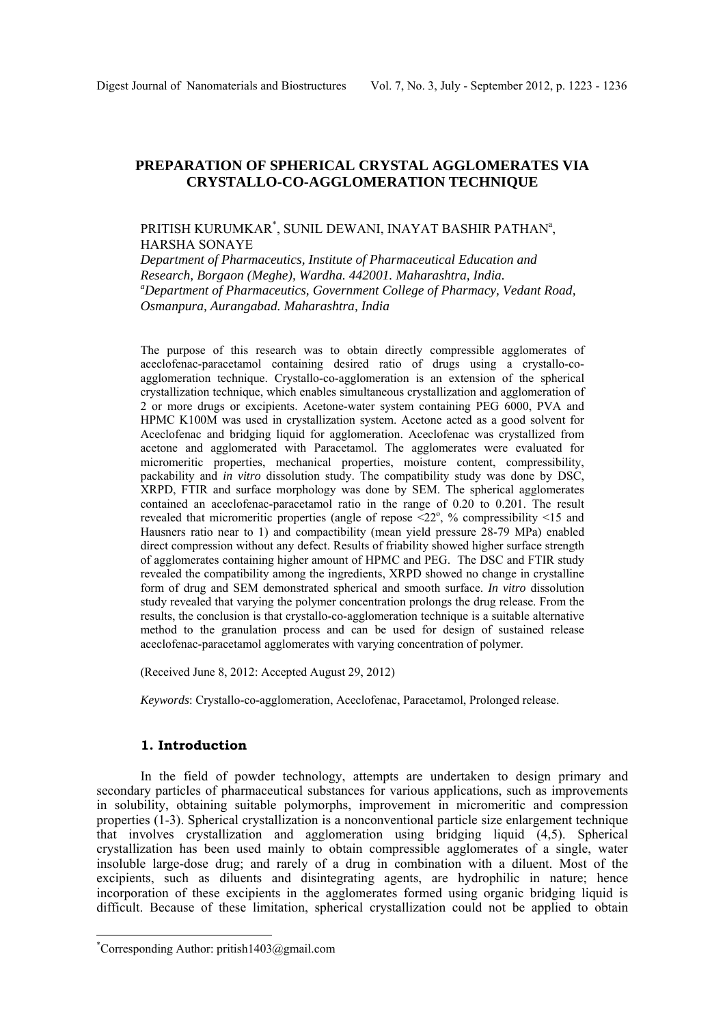# **PREPARATION OF SPHERICAL CRYSTAL AGGLOMERATES VIA CRYSTALLO-CO-AGGLOMERATION TECHNIQUE**

# PRITISH KURUMKAR<sup>\*</sup>, SUNIL DEWANI, INAYAT BASHIR PATHAN<sup>a</sup>, HARSHA SONAYE

*Department of Pharmaceutics, Institute of Pharmaceutical Education and Research, Borgaon (Meghe), Wardha, 442001, Maharashtra, India. Department of Pharmaceutics, Government College of Pharmacy, Vedant Road, Osmanpura, Aurangabad. Maharashtra, India* 

The purpose of this research was to obtain directly compressible agglomerates of aceclofenac-paracetamol containing desired ratio of drugs using a crystallo-coagglomeration technique. Crystallo-co-agglomeration is an extension of the spherical crystallization technique, which enables simultaneous crystallization and agglomeration of 2 or more drugs or excipients. Acetone-water system containing PEG 6000, PVA and HPMC K100M was used in crystallization system. Acetone acted as a good solvent for Aceclofenac and bridging liquid for agglomeration. Aceclofenac was crystallized from acetone and agglomerated with Paracetamol. The agglomerates were evaluated for micromeritic properties, mechanical properties, moisture content, compressibility, packability and *in vitro* dissolution study. The compatibility study was done by DSC, XRPD, FTIR and surface morphology was done by SEM. The spherical agglomerates contained an aceclofenac-paracetamol ratio in the range of 0.20 to 0.201. The result revealed that micromeritic properties (angle of repose  $\leq 22^\circ$ , % compressibility  $\leq 15$  and Hausners ratio near to 1) and compactibility (mean yield pressure 28-79 MPa) enabled direct compression without any defect. Results of friability showed higher surface strength of agglomerates containing higher amount of HPMC and PEG. The DSC and FTIR study revealed the compatibility among the ingredients, XRPD showed no change in crystalline form of drug and SEM demonstrated spherical and smooth surface. *In vitro* dissolution study revealed that varying the polymer concentration prolongs the drug release. From the results, the conclusion is that crystallo-co-agglomeration technique is a suitable alternative method to the granulation process and can be used for design of sustained release aceclofenac-paracetamol agglomerates with varying concentration of polymer.

(Received June 8, 2012: Accepted August 29, 2012)

*Keywords*: Crystallo-co-agglomeration, Aceclofenac, Paracetamol, Prolonged release.

# **1. Introduction**

In the field of powder technology, attempts are undertaken to design primary and secondary particles of pharmaceutical substances for various applications, such as improvements in solubility, obtaining suitable polymorphs, improvement in micromeritic and compression properties (1-3). Spherical crystallization is a nonconventional particle size enlargement technique that involves crystallization and agglomeration using bridging liquid (4,5). Spherical crystallization has been used mainly to obtain compressible agglomerates of a single, water insoluble large-dose drug; and rarely of a drug in combination with a diluent. Most of the excipients, such as diluents and disintegrating agents, are hydrophilic in nature; hence incorporation of these excipients in the agglomerates formed using organic bridging liquid is difficult. Because of these limitation, spherical crystallization could not be applied to obtain

 $\overline{a}$ 

<sup>\*</sup> Corresponding Author: pritish1403@gmail.com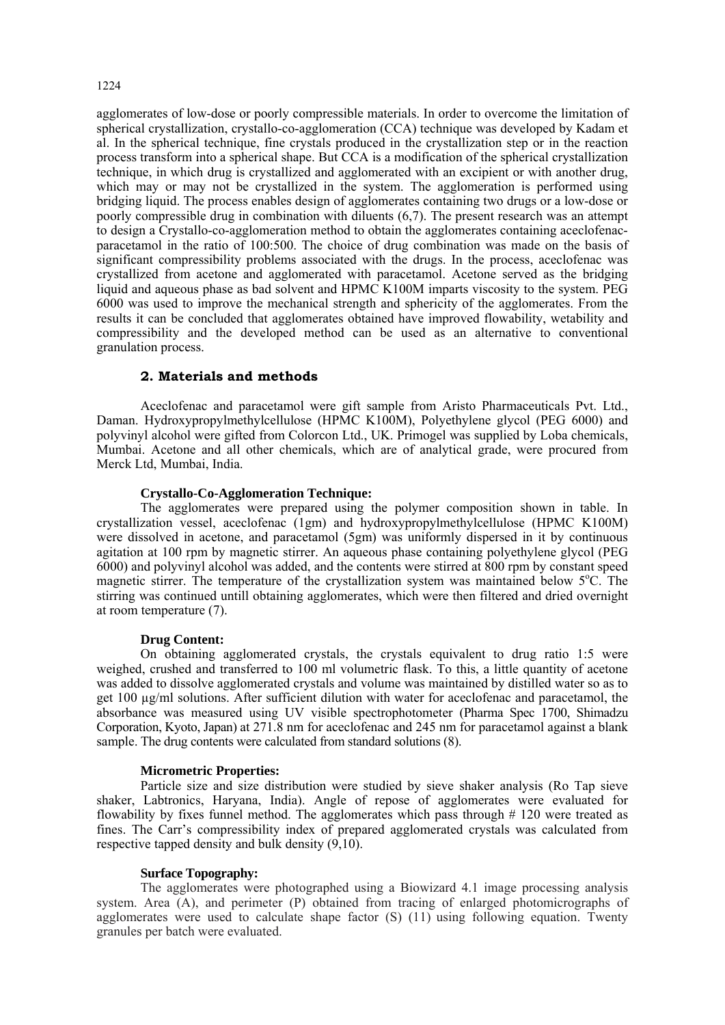# 1224

agglomerates of low-dose or poorly compressible materials. In order to overcome the limitation of spherical crystallization, crystallo-co-agglomeration (CCA) technique was developed by Kadam et al. In the spherical technique, fine crystals produced in the crystallization step or in the reaction process transform into a spherical shape. But CCA is a modification of the spherical crystallization technique, in which drug is crystallized and agglomerated with an excipient or with another drug, which may or may not be crystallized in the system. The agglomeration is performed using bridging liquid. The process enables design of agglomerates containing two drugs or a low-dose or poorly compressible drug in combination with diluents (6,7). The present research was an attempt to design a Crystallo-co-agglomeration method to obtain the agglomerates containing aceclofenacparacetamol in the ratio of 100:500. The choice of drug combination was made on the basis of significant compressibility problems associated with the drugs. In the process, aceclofenac was crystallized from acetone and agglomerated with paracetamol. Acetone served as the bridging liquid and aqueous phase as bad solvent and HPMC K100M imparts viscosity to the system. PEG 6000 was used to improve the mechanical strength and sphericity of the agglomerates. From the results it can be concluded that agglomerates obtained have improved flowability, wetability and compressibility and the developed method can be used as an alternative to conventional granulation process.

# **2. Materials and methods**

Aceclofenac and paracetamol were gift sample from Aristo Pharmaceuticals Pvt. Ltd., Daman. Hydroxypropylmethylcellulose (HPMC K100M), Polyethylene glycol (PEG 6000) and polyvinyl alcohol were gifted from Colorcon Ltd., UK. Primogel was supplied by Loba chemicals, Mumbai. Acetone and all other chemicals, which are of analytical grade, were procured from Merck Ltd, Mumbai, India.

## **Crystallo-Co-Agglomeration Technique:**

The agglomerates were prepared using the polymer composition shown in table. In crystallization vessel, aceclofenac (1gm) and hydroxypropylmethylcellulose (HPMC K100M) were dissolved in acetone, and paracetamol (5gm) was uniformly dispersed in it by continuous agitation at 100 rpm by magnetic stirrer. An aqueous phase containing polyethylene glycol (PEG 6000) and polyvinyl alcohol was added, and the contents were stirred at 800 rpm by constant speed magnetic stirrer. The temperature of the crystallization system was maintained below 5°C. The stirring was continued untill obtaining agglomerates, which were then filtered and dried overnight at room temperature (7).

## **Drug Content:**

On obtaining agglomerated crystals, the crystals equivalent to drug ratio 1:5 were weighed, crushed and transferred to 100 ml volumetric flask. To this, a little quantity of acetone was added to dissolve agglomerated crystals and volume was maintained by distilled water so as to get 100 µg/ml solutions. After sufficient dilution with water for aceclofenac and paracetamol, the absorbance was measured using UV visible spectrophotometer (Pharma Spec 1700, Shimadzu Corporation, Kyoto, Japan) at 271.8 nm for aceclofenac and 245 nm for paracetamol against a blank sample. The drug contents were calculated from standard solutions (8).

## **Micrometric Properties:**

Particle size and size distribution were studied by sieve shaker analysis (Ro Tap sieve shaker, Labtronics, Haryana, India). Angle of repose of agglomerates were evaluated for flowability by fixes funnel method. The agglomerates which pass through # 120 were treated as fines. The Carr's compressibility index of prepared agglomerated crystals was calculated from respective tapped density and bulk density (9,10).

## **Surface Topography:**

The agglomerates were photographed using a Biowizard 4.1 image processing analysis system. Area (A), and perimeter (P) obtained from tracing of enlarged photomicrographs of agglomerates were used to calculate shape factor (S) (11) using following equation. Twenty granules per batch were evaluated.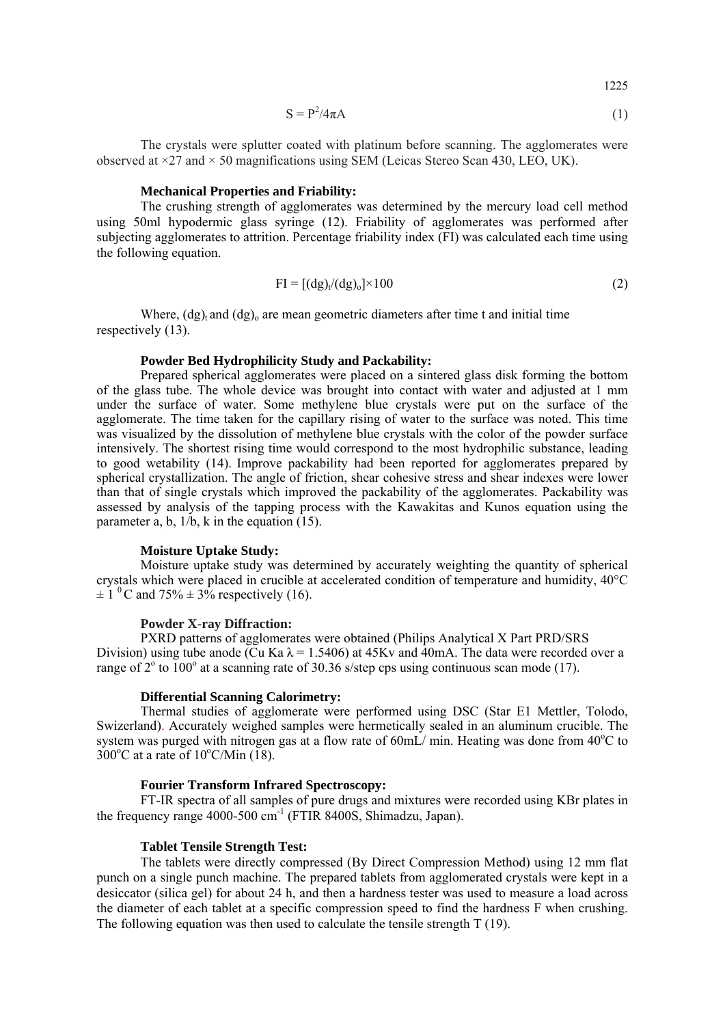$$
S = P^2 / 4\pi A \tag{1}
$$

1225

The crystals were splutter coated with platinum before scanning. The agglomerates were observed at  $\times$ 27 and  $\times$  50 magnifications using SEM (Leicas Stereo Scan 430, LEO, UK).

### **Mechanical Properties and Friability:**

The crushing strength of agglomerates was determined by the mercury load cell method using 50ml hypodermic glass syringe (12). Friability of agglomerates was performed after subjecting agglomerates to attrition. Percentage friability index (FI) was calculated each time using the following equation.

$$
FI = [(dg)v/(dg)o] \times 100
$$
 (2)

Where,  $(dg)$  and  $(dg)$  are mean geometric diameters after time t and initial time respectively (13).

# **Powder Bed Hydrophilicity Study and Packability:**

Prepared spherical agglomerates were placed on a sintered glass disk forming the bottom of the glass tube. The whole device was brought into contact with water and adjusted at 1 mm under the surface of water. Some methylene blue crystals were put on the surface of the agglomerate. The time taken for the capillary rising of water to the surface was noted. This time was visualized by the dissolution of methylene blue crystals with the color of the powder surface intensively. The shortest rising time would correspond to the most hydrophilic substance, leading to good wetability (14). Improve packability had been reported for agglomerates prepared by spherical crystallization. The angle of friction, shear cohesive stress and shear indexes were lower than that of single crystals which improved the packability of the agglomerates. Packability was assessed by analysis of the tapping process with the Kawakitas and Kunos equation using the parameter a, b, 1/b, k in the equation (15).

#### **Moisture Uptake Study:**

Moisture uptake study was determined by accurately weighting the quantity of spherical crystals which were placed in crucible at accelerated condition of temperature and humidity, 40°C  $\pm 1$ <sup>0</sup>C and 75%  $\pm 3$ % respectively (16).

## **Powder X-ray Diffraction:**

PXRD patterns of agglomerates were obtained (Philips Analytical X Part PRD/SRS Division) using tube anode (Cu Ka  $\lambda$  = 1.5406) at 45Kv and 40mA. The data were recorded over a range of  $2^{\circ}$  to  $100^{\circ}$  at a scanning rate of 30.36 s/step cps using continuous scan mode (17).

#### **Differential Scanning Calorimetry:**

Thermal studies of agglomerate were performed using DSC (Star E1 Mettler, Tolodo, Swizerland). Accurately weighed samples were hermetically sealed in an aluminum crucible. The system was purged with nitrogen gas at a flow rate of  $60$ mL $/$  min. Heating was done from  $40^{\circ}$ C to  $300^{\circ}$ C at a rate of  $10^{\circ}$ C/Min (18).

### **Fourier Transform Infrared Spectroscopy:**

FT-IR spectra of all samples of pure drugs and mixtures were recorded using KBr plates in the frequency range 4000-500  $\text{cm}^{-1}$  (FTIR 8400S, Shimadzu, Japan).

#### **Tablet Tensile Strength Test:**

The tablets were directly compressed (By Direct Compression Method) using 12 mm flat punch on a single punch machine. The prepared tablets from agglomerated crystals were kept in a desiccator (silica gel) for about 24 h, and then a hardness tester was used to measure a load across the diameter of each tablet at a specific compression speed to find the hardness F when crushing. The following equation was then used to calculate the tensile strength T (19).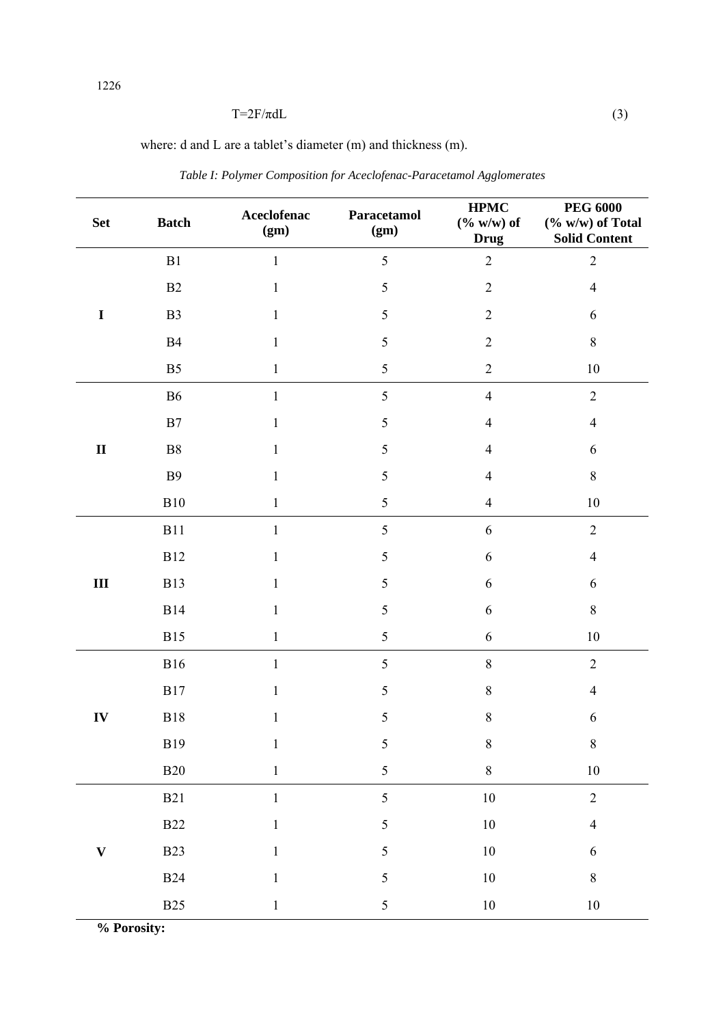# $T=2F/\pi dL$  (3)

where: d and L are a tablet's diameter (m) and thickness (m).

| <b>Set</b>   | <b>Batch</b>   | Aceclofenac<br>(gm) | Paracetamol<br>(gm) | <b>HPMC</b><br>$(\% w/w)$ of<br><b>Drug</b> | <b>PEG 6000</b><br>$(\% w/w)$ of Total<br><b>Solid Content</b> |
|--------------|----------------|---------------------|---------------------|---------------------------------------------|----------------------------------------------------------------|
| $\mathbf I$  | ${\bf B}1$     | $\mathbf{1}$        | 5                   | $\overline{2}$                              | $\overline{2}$                                                 |
|              | B2             | $\mathbf{1}$        | $\mathfrak s$       | $\sqrt{2}$                                  | $\overline{4}$                                                 |
|              | B <sub>3</sub> | $\mathbf{1}$        | $\mathfrak s$       | $\sqrt{2}$                                  | $\sqrt{6}$                                                     |
|              | B4             | $\mathbf{1}$        | $\mathfrak s$       | $\sqrt{2}$                                  | $8\,$                                                          |
|              | B <sub>5</sub> | $\mathbf{1}$        | $\sqrt{5}$          | $\sqrt{2}$                                  | $10\,$                                                         |
|              | <b>B6</b>      | $\mathbf{1}$        | $\sqrt{5}$          | $\overline{4}$                              | $\overline{2}$                                                 |
|              | B7             | 1                   | $\mathfrak s$       | $\overline{4}$                              | $\overline{4}$                                                 |
| $\mathbf{I}$ | ${\bf B}8$     | $\mathbf{1}$        | 5                   | $\overline{4}$                              | 6                                                              |
|              | <b>B9</b>      | $\mathbf{1}$        | $\mathfrak s$       | $\overline{4}$                              | $8\,$                                                          |
|              | B10            | $\mathbf{1}$        | $\sqrt{5}$          | $\overline{4}$                              | $10\,$                                                         |
| $\rm III$    | <b>B11</b>     | $\mathbf{1}$        | 5                   | $\sqrt{6}$                                  | $\overline{2}$                                                 |
|              | <b>B12</b>     | 1                   | $\sqrt{5}$          | 6                                           | $\overline{4}$                                                 |
|              | <b>B13</b>     | 1                   | $\mathfrak s$       | 6                                           | 6                                                              |
|              | <b>B14</b>     | 1                   | $\mathfrak s$       | 6                                           | $8\,$                                                          |
|              | <b>B15</b>     | 1                   | $\sqrt{5}$          | 6                                           | $10\,$                                                         |
| IV           | <b>B16</b>     | $\mathbf{1}$        | 5                   | $\,8\,$                                     | $\overline{2}$                                                 |
|              | <b>B17</b>     | $\mathbf{1}$        | 5                   | $\,8\,$                                     | $\overline{4}$                                                 |
|              | <b>B18</b>     | 1                   | 5                   | $\,8\,$                                     | 6                                                              |
|              | $\rm B19$      | $\mathbf{1}$        | 5                   | $\,$ $\,$                                   | $\,$ $\,$                                                      |
|              | <b>B20</b>     | $\,1$               | 5                   | $\,$ $\,$                                   | $10\,$                                                         |
|              | $\rm B21$      | $\mathbf{1}$        | 5                   | $10\,$                                      | $\overline{2}$                                                 |
| $\mathbf{V}$ | <b>B22</b>     | $\mathbf{1}$        | 5                   | $10\,$                                      | $\overline{4}$                                                 |
|              | <b>B23</b>     | $\mathbf{1}$        | 5                   | $10\,$                                      | $\sqrt{6}$                                                     |
|              | <b>B24</b>     | 1                   | 5                   | $10\,$                                      | $\,8\,$                                                        |
|              | <b>B25</b>     | $\mathbf{1}$        | 5                   | $10\,$                                      | $10\,$                                                         |

*Table I: Polymer Composition for Aceclofenac-Paracetamol Agglomerates* 

**% Porosity:**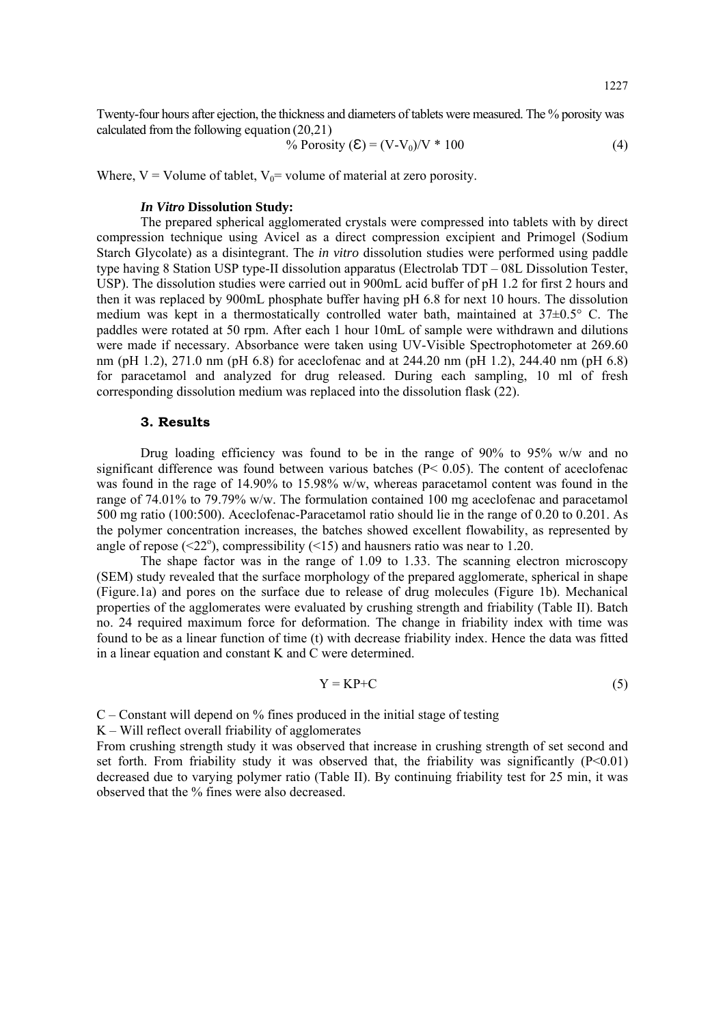Twenty-four hours after ejection, the thickness and diameters of tablets were measured. The % porosity was calculated from the following equation (20,21)

% Prorosity 
$$
(\mathbf{E}) = (V - V_0)/V * 100
$$
 (4)

Where,  $V =$  Volume of tablet,  $V_0 =$  volume of material at zero porosity.

# *In Vitro* **Dissolution Study:**

The prepared spherical agglomerated crystals were compressed into tablets with by direct compression technique using Avicel as a direct compression excipient and Primogel (Sodium Starch Glycolate) as a disintegrant. The *in vitro* dissolution studies were performed using paddle type having 8 Station USP type-II dissolution apparatus (Electrolab TDT – 08L Dissolution Tester, USP). The dissolution studies were carried out in 900mL acid buffer of pH 1.2 for first 2 hours and then it was replaced by 900mL phosphate buffer having pH 6.8 for next 10 hours. The dissolution medium was kept in a thermostatically controlled water bath, maintained at  $37\pm0.5^{\circ}$  C. The paddles were rotated at 50 rpm. After each 1 hour 10mL of sample were withdrawn and dilutions were made if necessary. Absorbance were taken using UV-Visible Spectrophotometer at 269.60 nm (pH 1.2), 271.0 nm (pH 6.8) for aceclofenac and at 244.20 nm (pH 1.2), 244.40 nm (pH 6.8) for paracetamol and analyzed for drug released. During each sampling, 10 ml of fresh corresponding dissolution medium was replaced into the dissolution flask (22).

## **3. Results**

Drug loading efficiency was found to be in the range of 90% to 95% w/w and no significant difference was found between various batches ( $P < 0.05$ ). The content of aceclofenac was found in the rage of 14.90% to 15.98% w/w, whereas paracetamol content was found in the range of 74.01% to 79.79% w/w. The formulation contained 100 mg aceclofenac and paracetamol 500 mg ratio (100:500). Aceclofenac-Paracetamol ratio should lie in the range of 0.20 to 0.201. As the polymer concentration increases, the batches showed excellent flowability, as represented by angle of repose ( $\leq 22^{\circ}$ ), compressibility ( $\leq 15$ ) and hausners ratio was near to 1.20.

The shape factor was in the range of 1.09 to 1.33. The scanning electron microscopy (SEM) study revealed that the surface morphology of the prepared agglomerate, spherical in shape (Figure.1a) and pores on the surface due to release of drug molecules (Figure 1b). Mechanical properties of the agglomerates were evaluated by crushing strength and friability (Table II). Batch no. 24 required maximum force for deformation. The change in friability index with time was found to be as a linear function of time (t) with decrease friability index. Hence the data was fitted in a linear equation and constant K and C were determined.

$$
Y = KP + C \tag{5}
$$

 $C$  – Constant will depend on  $\%$  fines produced in the initial stage of testing

K – Will reflect overall friability of agglomerates

From crushing strength study it was observed that increase in crushing strength of set second and set forth. From friability study it was observed that, the friability was significantly  $(P<0.01)$ decreased due to varying polymer ratio (Table II). By continuing friability test for 25 min, it was observed that the % fines were also decreased.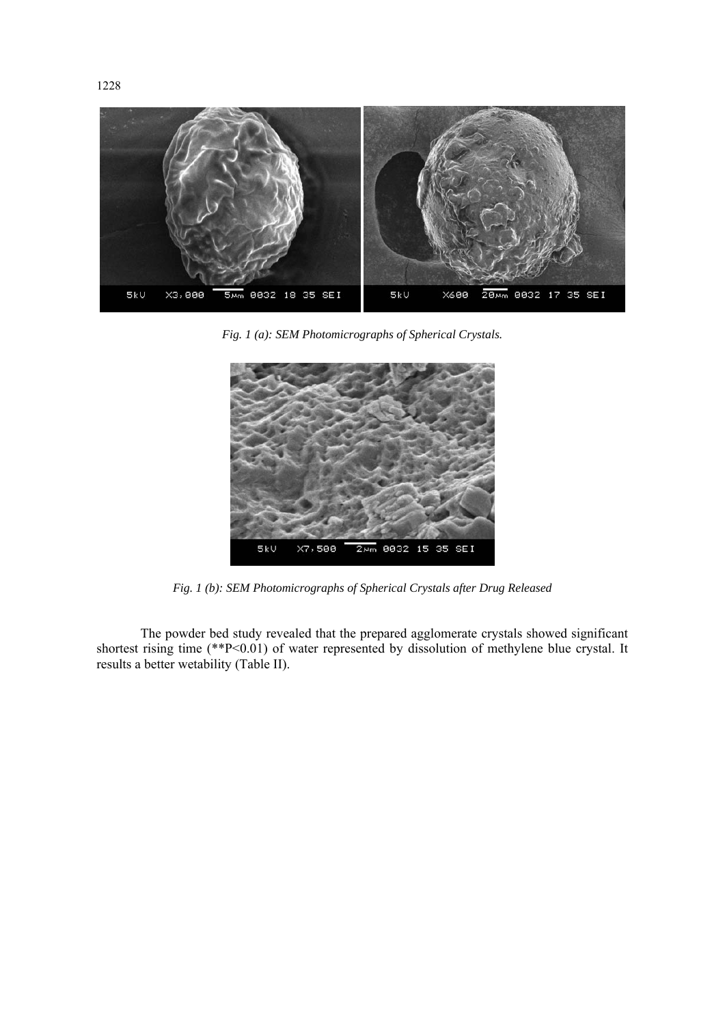

*Fig. 1 (a): SEM Photomicrographs of Spherical Crystals.* 



*Fig. 1 (b): SEM Photomicrographs of Spherical Crystals after Drug Released* 

The powder bed study revealed that the prepared agglomerate crystals showed significant shortest rising time (\*\*P<0.01) of water represented by dissolution of methylene blue crystal. It results a better wetability (Table II).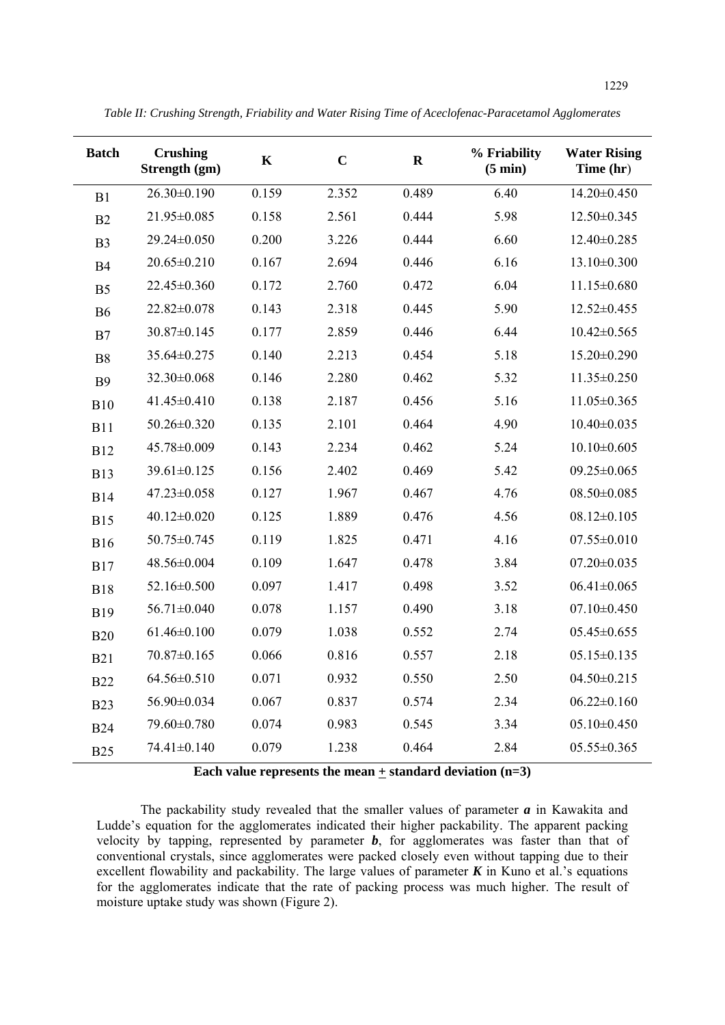| <b>Batch</b>   | <b>Crushing</b><br>Strength (gm) | $\mathbf K$ | $\mathbf C$ | $\mathbf R$ | % Friability<br>$(5 \text{ min})$ | <b>Water Rising</b><br>Time (hr) |
|----------------|----------------------------------|-------------|-------------|-------------|-----------------------------------|----------------------------------|
| B1             | $26.30\pm0.190$                  | 0.159       | 2.352       | 0.489       | 6.40                              | $14.20 \pm 0.450$                |
| B2             | 21.95±0.085                      | 0.158       | 2.561       | 0.444       | 5.98                              | 12.50±0.345                      |
| B <sub>3</sub> | 29.24±0.050                      | 0.200       | 3.226       | 0.444       | 6.60                              | 12.40±0.285                      |
| <b>B4</b>      | $20.65 \pm 0.210$                | 0.167       | 2.694       | 0.446       | 6.16                              | $13.10 \pm 0.300$                |
| B <sub>5</sub> | 22.45±0.360                      | 0.172       | 2.760       | 0.472       | 6.04                              | $11.15 \pm 0.680$                |
| <b>B6</b>      | 22.82±0.078                      | 0.143       | 2.318       | 0.445       | 5.90                              | $12.52 \pm 0.455$                |
| B7             | 30.87±0.145                      | 0.177       | 2.859       | 0.446       | 6.44                              | $10.42 \pm 0.565$                |
| <b>B8</b>      | 35.64±0.275                      | 0.140       | 2.213       | 0.454       | 5.18                              | 15.20±0.290                      |
| <b>B9</b>      | 32.30±0.068                      | 0.146       | 2.280       | 0.462       | 5.32                              | 11.35±0.250                      |
| <b>B10</b>     | 41.45±0.410                      | 0.138       | 2.187       | 0.456       | 5.16                              | $11.05 \pm 0.365$                |
| <b>B11</b>     | 50.26±0.320                      | 0.135       | 2.101       | 0.464       | 4.90                              | $10.40 \pm 0.035$                |
| <b>B12</b>     | 45.78±0.009                      | 0.143       | 2.234       | 0.462       | 5.24                              | $10.10 \pm 0.605$                |
| <b>B13</b>     | 39.61±0.125                      | 0.156       | 2.402       | 0.469       | 5.42                              | $09.25 \pm 0.065$                |
| <b>B14</b>     | 47.23±0.058                      | 0.127       | 1.967       | 0.467       | 4.76                              | $08.50 \pm 0.085$                |
| <b>B15</b>     | $40.12 \pm 0.020$                | 0.125       | 1.889       | 0.476       | 4.56                              | $08.12 \pm 0.105$                |
| <b>B16</b>     | 50.75±0.745                      | 0.119       | 1.825       | 0.471       | 4.16                              | $07.55 \pm 0.010$                |
| <b>B17</b>     | 48.56±0.004                      | 0.109       | 1.647       | 0.478       | 3.84                              | $07.20 \pm 0.035$                |
| <b>B18</b>     | 52.16±0.500                      | 0.097       | 1.417       | 0.498       | 3.52                              | $06.41 \pm 0.065$                |
| <b>B19</b>     | 56.71±0.040                      | 0.078       | 1.157       | 0.490       | 3.18                              | $07.10 \pm 0.450$                |
| <b>B20</b>     | $61.46 \pm 0.100$                | 0.079       | 1.038       | 0.552       | 2.74                              | $05.45 \pm 0.655$                |
| <b>B21</b>     | 70.87±0.165                      | 0.066       | 0.816       | 0.557       | 2.18                              | $05.15 \pm 0.135$                |
| <b>B22</b>     | 64.56±0.510                      | 0.071       | 0.932       | 0.550       | 2.50                              | $04.50 \pm 0.215$                |
| <b>B23</b>     | 56.90±0.034                      | 0.067       | 0.837       | 0.574       | 2.34                              | $06.22 \pm 0.160$                |
| <b>B24</b>     | 79.60±0.780                      | 0.074       | 0.983       | 0.545       | 3.34                              | $05.10 \pm 0.450$                |
| <b>B25</b>     | 74.41±0.140                      | 0.079       | 1.238       | 0.464       | 2.84                              | $05.55 \pm 0.365$                |

**Each value represents the mean + standard deviation (n=3)** 

The packability study revealed that the smaller values of parameter *a* in Kawakita and Ludde's equation for the agglomerates indicated their higher packability. The apparent packing velocity by tapping, represented by parameter *b*, for agglomerates was faster than that of conventional crystals, since agglomerates were packed closely even without tapping due to their excellent flowability and packability. The large values of parameter  $K$  in Kuno et al.'s equations for the agglomerates indicate that the rate of packing process was much higher. The result of moisture uptake study was shown (Figure 2).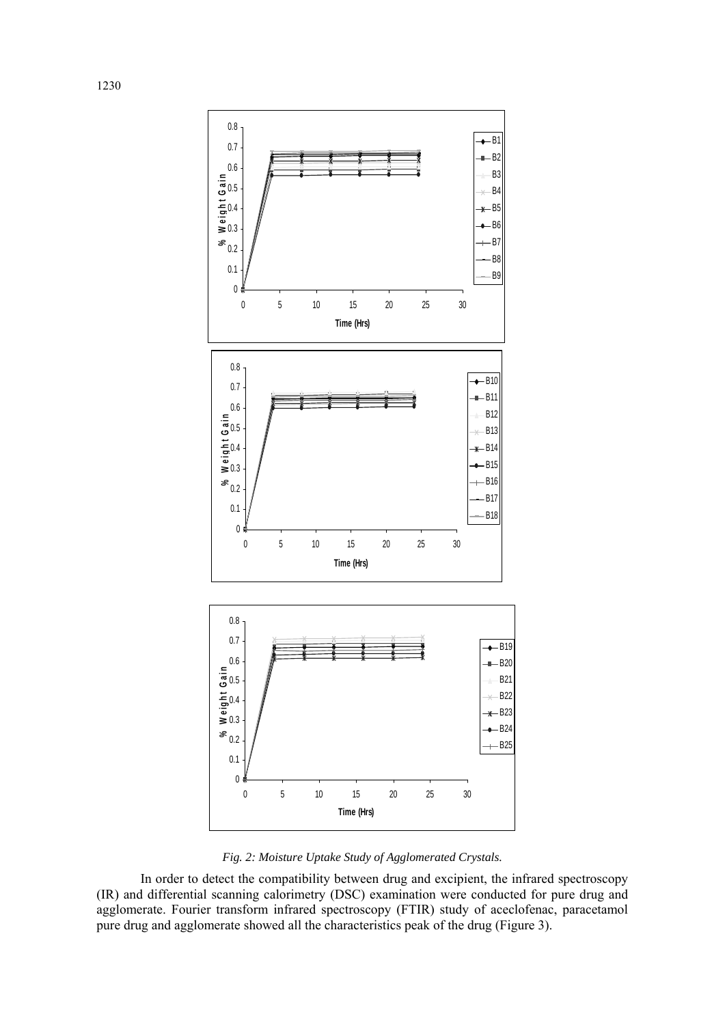

*Fig. 2: Moisture Uptake Study of Agglomerated Crystals.* 

In order to detect the compatibility between drug and excipient, the infrared spectroscopy (IR) and differential scanning calorimetry (DSC) examination were conducted for pure drug and agglomerate. Fourier transform infrared spectroscopy (FTIR) study of aceclofenac, paracetamol pure drug and agglomerate showed all the characteristics peak of the drug (Figure 3).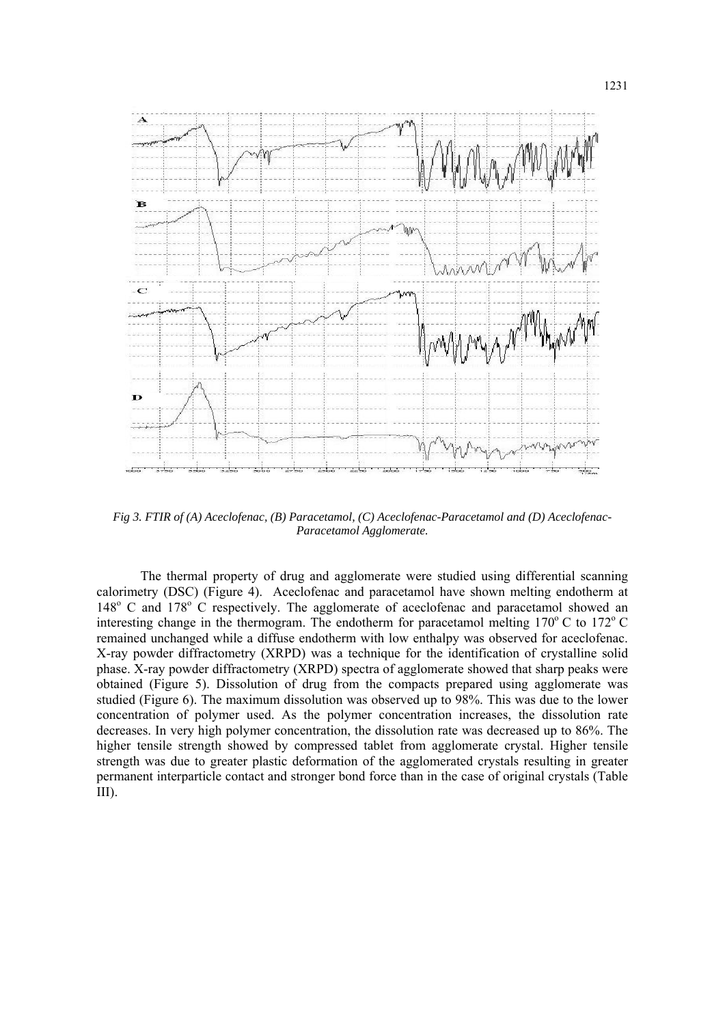

*Fig 3. FTIR of (A) Aceclofenac, (B) Paracetamol, (C) Aceclofenac-Paracetamol and (D) Aceclofenac-Paracetamol Agglomerate.* 

The thermal property of drug and agglomerate were studied using differential scanning calorimetry (DSC) (Figure 4). Aceclofenac and paracetamol have shown melting endotherm at 148<sup>o</sup> C and 178<sup>o</sup> C respectively. The agglomerate of aceclofenac and paracetamol showed an interesting change in the thermogram. The endotherm for paracetamol melting  $170^{\circ}$  C to  $172^{\circ}$  C remained unchanged while a diffuse endotherm with low enthalpy was observed for aceclofenac. X-ray powder diffractometry (XRPD) was a technique for the identification of crystalline solid phase. X-ray powder diffractometry (XRPD) spectra of agglomerate showed that sharp peaks were obtained (Figure 5). Dissolution of drug from the compacts prepared using agglomerate was studied (Figure 6). The maximum dissolution was observed up to 98%. This was due to the lower concentration of polymer used. As the polymer concentration increases, the dissolution rate decreases. In very high polymer concentration, the dissolution rate was decreased up to 86%. The higher tensile strength showed by compressed tablet from agglomerate crystal. Higher tensile strength was due to greater plastic deformation of the agglomerated crystals resulting in greater permanent interparticle contact and stronger bond force than in the case of original crystals (Table III).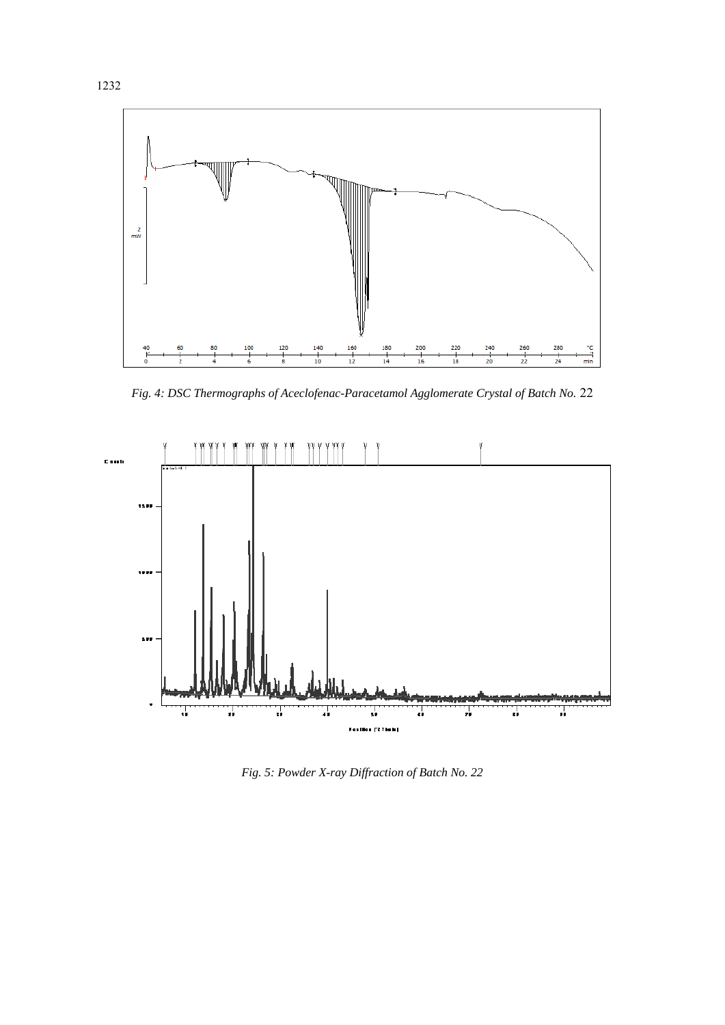

*Fig. 4: DSC Thermographs of Aceclofenac-Paracetamol Agglomerate Crystal of Batch No.* 22



*Fig. 5: Powder X-ray Diffraction of Batch No. 22*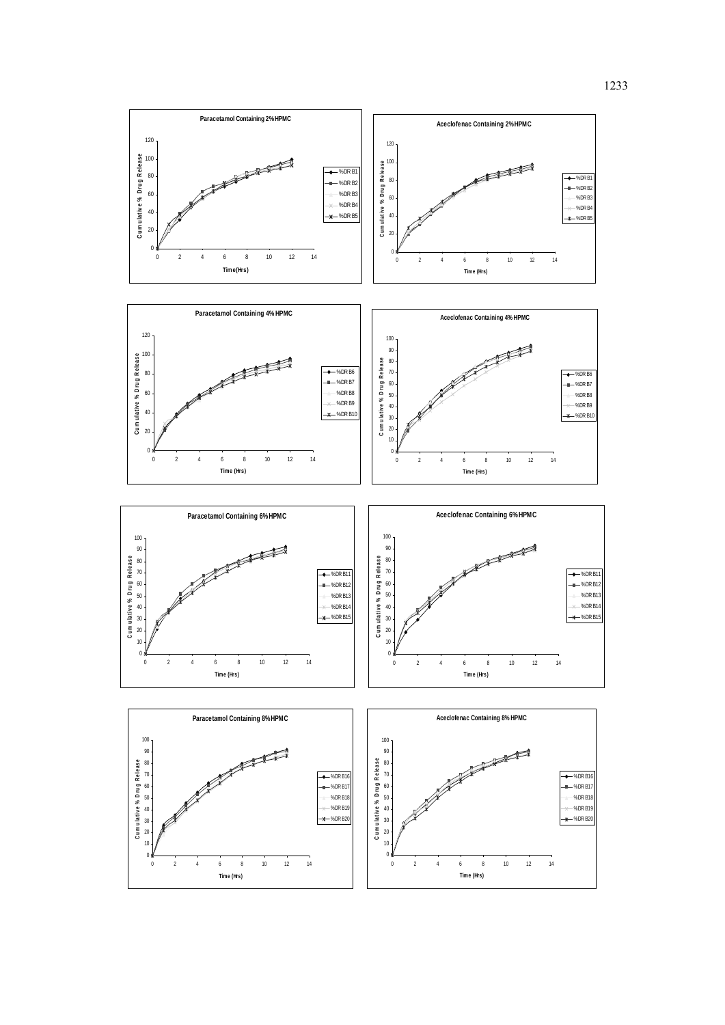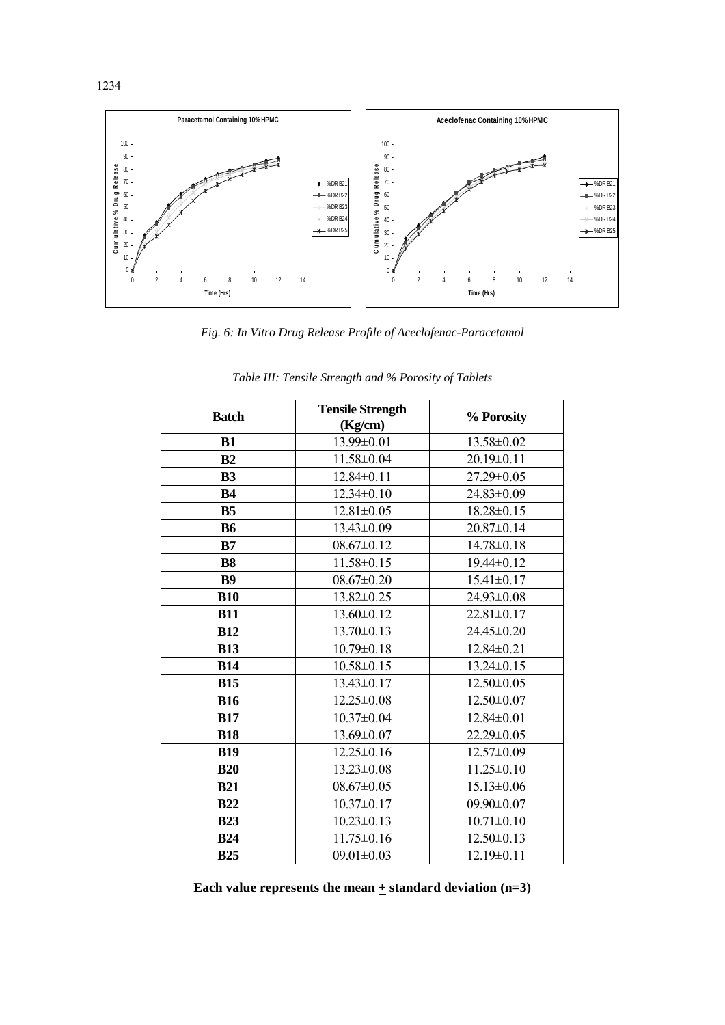

*Fig. 6: In Vitro Drug Release Profile of Aceclofenac-Paracetamol* 

| <b>Batch</b>   | <b>Tensile Strength</b> | % Porosity       |  |  |
|----------------|-------------------------|------------------|--|--|
|                | (Kg/cm)                 |                  |  |  |
| B1             | 13.99±0.01              | 13.58±0.02       |  |  |
| B <sub>2</sub> | 11.58±0.04              | $20.19 \pm 0.11$ |  |  |
| <b>B3</b>      | $12.84 \pm 0.11$        | 27.29±0.05       |  |  |
| <b>B4</b>      | $12.34 \pm 0.10$        | 24.83±0.09       |  |  |
| B <sub>5</sub> | $12.81 \pm 0.05$        | $18.28 \pm 0.15$ |  |  |
| <b>B6</b>      | 13.43±0.09              | 20.87±0.14       |  |  |
| B7             | $08.67 \pm 0.12$        | $14.78 \pm 0.18$ |  |  |
| <b>B8</b>      | 11.58±0.15              | 19.44±0.12       |  |  |
| <b>B9</b>      | $08.67 \pm 0.20$        | $15.41 \pm 0.17$ |  |  |
| <b>B10</b>     | 13.82±0.25              | 24.93±0.08       |  |  |
| <b>B11</b>     | 13.60±0.12              | $22.81 \pm 0.17$ |  |  |
| <b>B12</b>     | $13.70 \pm 0.13$        | 24.45±0.20       |  |  |
| <b>B13</b>     | $10.79 \pm 0.18$        | 12.84±0.21       |  |  |
| <b>B14</b>     | $10.58 \pm 0.15$        | $13.24 \pm 0.15$ |  |  |
| <b>B15</b>     | $13.43 \pm 0.17$        | $12.50 \pm 0.05$ |  |  |
| <b>B16</b>     | $12.25 \pm 0.08$        | $12.50 \pm 0.07$ |  |  |
| <b>B17</b>     | $10.37 \pm 0.04$        | $12.84 \pm 0.01$ |  |  |
| <b>B18</b>     | $13.69 \pm 0.07$        | 22.29±0.05       |  |  |
| <b>B19</b>     | $12.25 \pm 0.16$        | 12.57±0.09       |  |  |
| <b>B20</b>     | $13.23 \pm 0.08$        | $11.25 \pm 0.10$ |  |  |
| <b>B21</b>     | $08.67 \pm 0.05$        | $15.13 \pm 0.06$ |  |  |
| <b>B22</b>     | $10.37 \pm 0.17$        | $09.90 \pm 0.07$ |  |  |
| <b>B23</b>     | $10.23 \pm 0.13$        | $10.71 \pm 0.10$ |  |  |
| <b>B24</b>     | $11.75 \pm 0.16$        | $12.50 \pm 0.13$ |  |  |
| <b>B25</b>     | $09.01 \pm 0.03$        | $12.19\pm0.11$   |  |  |

*Table III: Tensile Strength and % Porosity of Tablets* 

Each value represents the mean  $\pm$  standard deviation (n=3)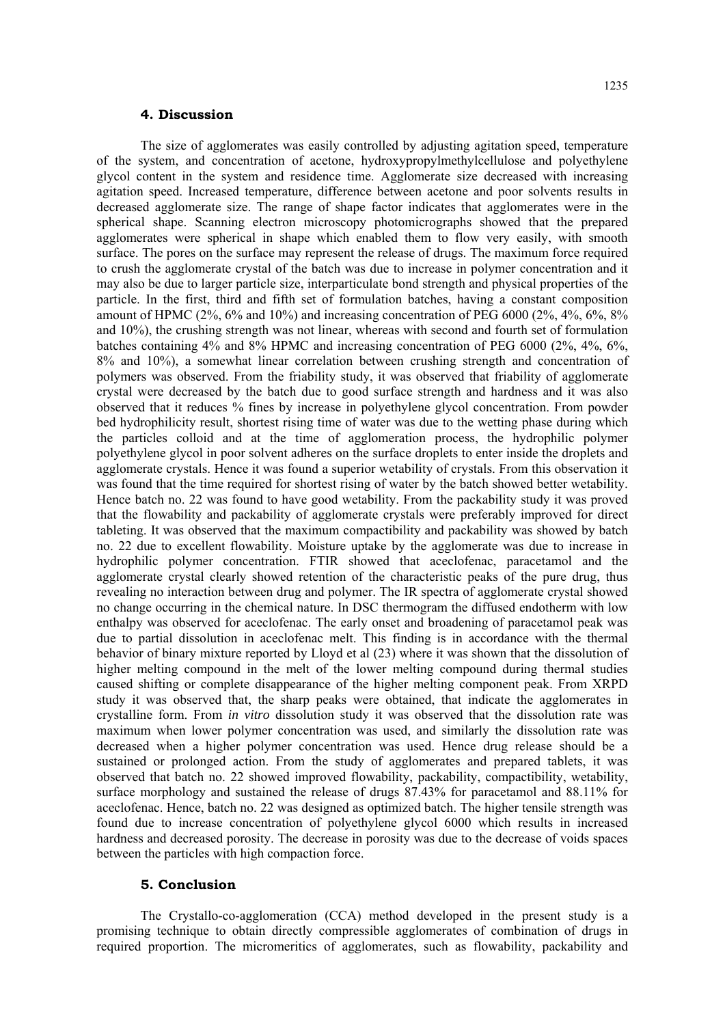# **4. Discussion**

The size of agglomerates was easily controlled by adjusting agitation speed, temperature of the system, and concentration of acetone, hydroxypropylmethylcellulose and polyethylene glycol content in the system and residence time. Agglomerate size decreased with increasing agitation speed. Increased temperature, difference between acetone and poor solvents results in decreased agglomerate size. The range of shape factor indicates that agglomerates were in the spherical shape. Scanning electron microscopy photomicrographs showed that the prepared agglomerates were spherical in shape which enabled them to flow very easily, with smooth surface. The pores on the surface may represent the release of drugs. The maximum force required to crush the agglomerate crystal of the batch was due to increase in polymer concentration and it may also be due to larger particle size, interparticulate bond strength and physical properties of the particle. In the first, third and fifth set of formulation batches, having a constant composition amount of HPMC (2%, 6% and 10%) and increasing concentration of PEG 6000 (2%, 4%, 6%, 8% and 10%), the crushing strength was not linear, whereas with second and fourth set of formulation batches containing 4% and 8% HPMC and increasing concentration of PEG 6000 (2%, 4%, 6%, 8% and 10%), a somewhat linear correlation between crushing strength and concentration of polymers was observed. From the friability study, it was observed that friability of agglomerate crystal were decreased by the batch due to good surface strength and hardness and it was also observed that it reduces % fines by increase in polyethylene glycol concentration. From powder bed hydrophilicity result, shortest rising time of water was due to the wetting phase during which the particles colloid and at the time of agglomeration process, the hydrophilic polymer polyethylene glycol in poor solvent adheres on the surface droplets to enter inside the droplets and agglomerate crystals. Hence it was found a superior wetability of crystals. From this observation it was found that the time required for shortest rising of water by the batch showed better wetability. Hence batch no. 22 was found to have good wetability. From the packability study it was proved that the flowability and packability of agglomerate crystals were preferably improved for direct tableting. It was observed that the maximum compactibility and packability was showed by batch no. 22 due to excellent flowability. Moisture uptake by the agglomerate was due to increase in hydrophilic polymer concentration. FTIR showed that aceclofenac, paracetamol and the agglomerate crystal clearly showed retention of the characteristic peaks of the pure drug, thus revealing no interaction between drug and polymer. The IR spectra of agglomerate crystal showed no change occurring in the chemical nature. In DSC thermogram the diffused endotherm with low enthalpy was observed for aceclofenac. The early onset and broadening of paracetamol peak was due to partial dissolution in aceclofenac melt. This finding is in accordance with the thermal behavior of binary mixture reported by Lloyd et al (23) where it was shown that the dissolution of higher melting compound in the melt of the lower melting compound during thermal studies caused shifting or complete disappearance of the higher melting component peak. From XRPD study it was observed that, the sharp peaks were obtained, that indicate the agglomerates in crystalline form. From *in vitro* dissolution study it was observed that the dissolution rate was maximum when lower polymer concentration was used, and similarly the dissolution rate was decreased when a higher polymer concentration was used. Hence drug release should be a sustained or prolonged action. From the study of agglomerates and prepared tablets, it was observed that batch no. 22 showed improved flowability, packability, compactibility, wetability, surface morphology and sustained the release of drugs 87.43% for paracetamol and 88.11% for aceclofenac. Hence, batch no. 22 was designed as optimized batch. The higher tensile strength was found due to increase concentration of polyethylene glycol 6000 which results in increased hardness and decreased porosity. The decrease in porosity was due to the decrease of voids spaces between the particles with high compaction force.

#### **5. Conclusion**

The Crystallo-co-agglomeration (CCA) method developed in the present study is a promising technique to obtain directly compressible agglomerates of combination of drugs in required proportion. The micromeritics of agglomerates, such as flowability, packability and